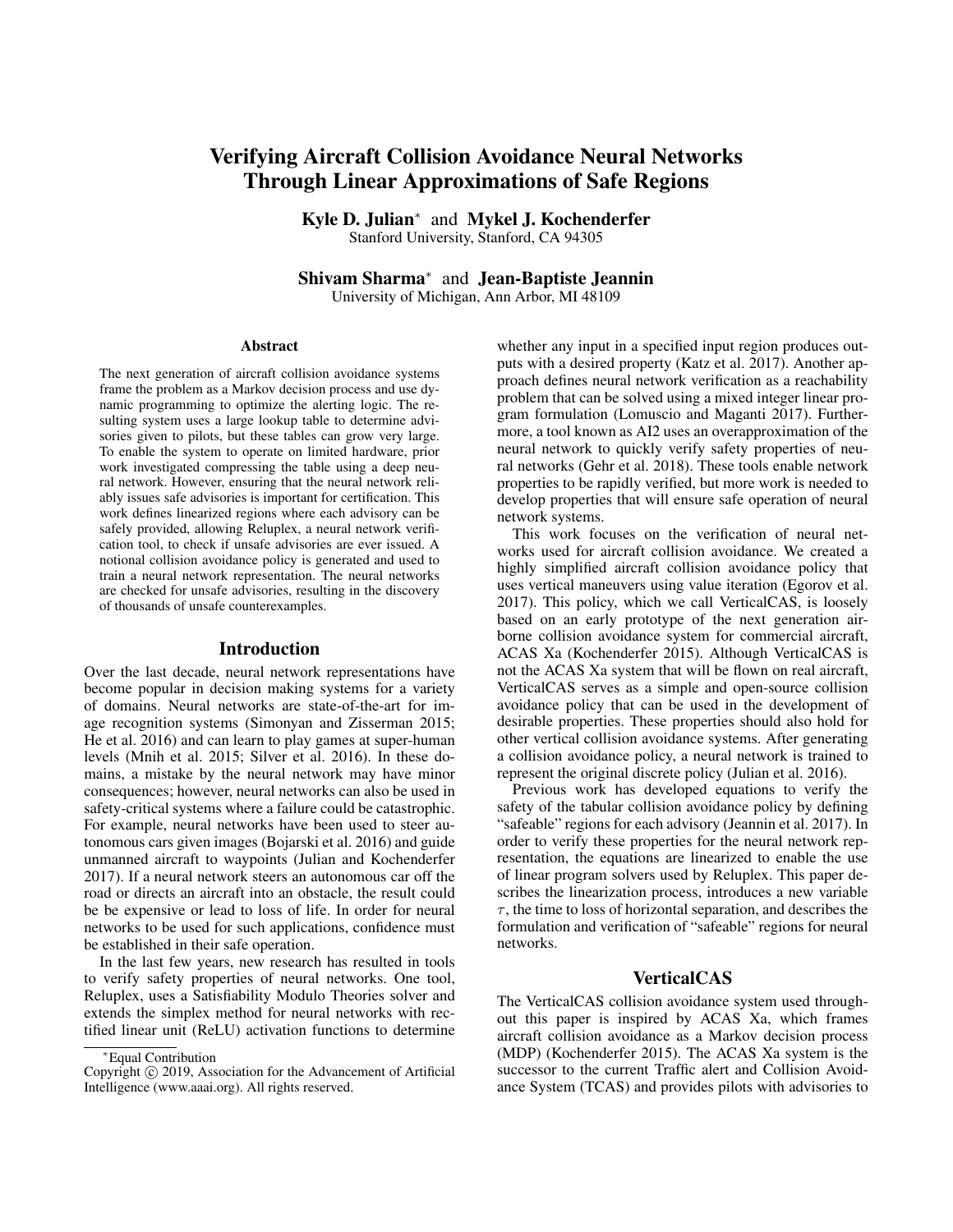# Verifying Aircraft Collision Avoidance Neural Networks Through Linear Approximations of Safe Regions

Kyle D. Julian<sup>∗</sup> and Mykel J. Kochenderfer Stanford University, Stanford, CA 94305

Shivam Sharma<sup>∗</sup> and Jean-Baptiste Jeannin University of Michigan, Ann Arbor, MI 48109

#### Abstract

The next generation of aircraft collision avoidance systems frame the problem as a Markov decision process and use dynamic programming to optimize the alerting logic. The resulting system uses a large lookup table to determine advisories given to pilots, but these tables can grow very large. To enable the system to operate on limited hardware, prior work investigated compressing the table using a deep neural network. However, ensuring that the neural network reliably issues safe advisories is important for certification. This work defines linearized regions where each advisory can be safely provided, allowing Reluplex, a neural network verification tool, to check if unsafe advisories are ever issued. A notional collision avoidance policy is generated and used to train a neural network representation. The neural networks are checked for unsafe advisories, resulting in the discovery of thousands of unsafe counterexamples.

## Introduction

Over the last decade, neural network representations have become popular in decision making systems for a variety of domains. Neural networks are state-of-the-art for image recognition systems (Simonyan and Zisserman 2015; He et al. 2016) and can learn to play games at super-human levels (Mnih et al. 2015; Silver et al. 2016). In these domains, a mistake by the neural network may have minor consequences; however, neural networks can also be used in safety-critical systems where a failure could be catastrophic. For example, neural networks have been used to steer autonomous cars given images (Bojarski et al. 2016) and guide unmanned aircraft to waypoints (Julian and Kochenderfer 2017). If a neural network steers an autonomous car off the road or directs an aircraft into an obstacle, the result could be be expensive or lead to loss of life. In order for neural networks to be used for such applications, confidence must be established in their safe operation.

In the last few years, new research has resulted in tools to verify safety properties of neural networks. One tool, Reluplex, uses a Satisfiability Modulo Theories solver and extends the simplex method for neural networks with rectified linear unit (ReLU) activation functions to determine

whether any input in a specified input region produces outputs with a desired property (Katz et al. 2017). Another approach defines neural network verification as a reachability problem that can be solved using a mixed integer linear program formulation (Lomuscio and Maganti 2017). Furthermore, a tool known as AI2 uses an overapproximation of the neural network to quickly verify safety properties of neural networks (Gehr et al. 2018). These tools enable network properties to be rapidly verified, but more work is needed to develop properties that will ensure safe operation of neural network systems.

This work focuses on the verification of neural networks used for aircraft collision avoidance. We created a highly simplified aircraft collision avoidance policy that uses vertical maneuvers using value iteration (Egorov et al. 2017). This policy, which we call VerticalCAS, is loosely based on an early prototype of the next generation airborne collision avoidance system for commercial aircraft, ACAS Xa (Kochenderfer 2015). Although VerticalCAS is not the ACAS Xa system that will be flown on real aircraft, VerticalCAS serves as a simple and open-source collision avoidance policy that can be used in the development of desirable properties. These properties should also hold for other vertical collision avoidance systems. After generating a collision avoidance policy, a neural network is trained to represent the original discrete policy (Julian et al. 2016).

Previous work has developed equations to verify the safety of the tabular collision avoidance policy by defining "safeable" regions for each advisory (Jeannin et al. 2017). In order to verify these properties for the neural network representation, the equations are linearized to enable the use of linear program solvers used by Reluplex. This paper describes the linearization process, introduces a new variable  $\tau$ , the time to loss of horizontal separation, and describes the formulation and verification of "safeable" regions for neural networks.

# **VerticalCAS**

The VerticalCAS collision avoidance system used throughout this paper is inspired by ACAS Xa, which frames aircraft collision avoidance as a Markov decision process (MDP) (Kochenderfer 2015). The ACAS Xa system is the successor to the current Traffic alert and Collision Avoidance System (TCAS) and provides pilots with advisories to

<sup>∗</sup>Equal Contribution

Copyright © 2019, Association for the Advancement of Artificial Intelligence (www.aaai.org). All rights reserved.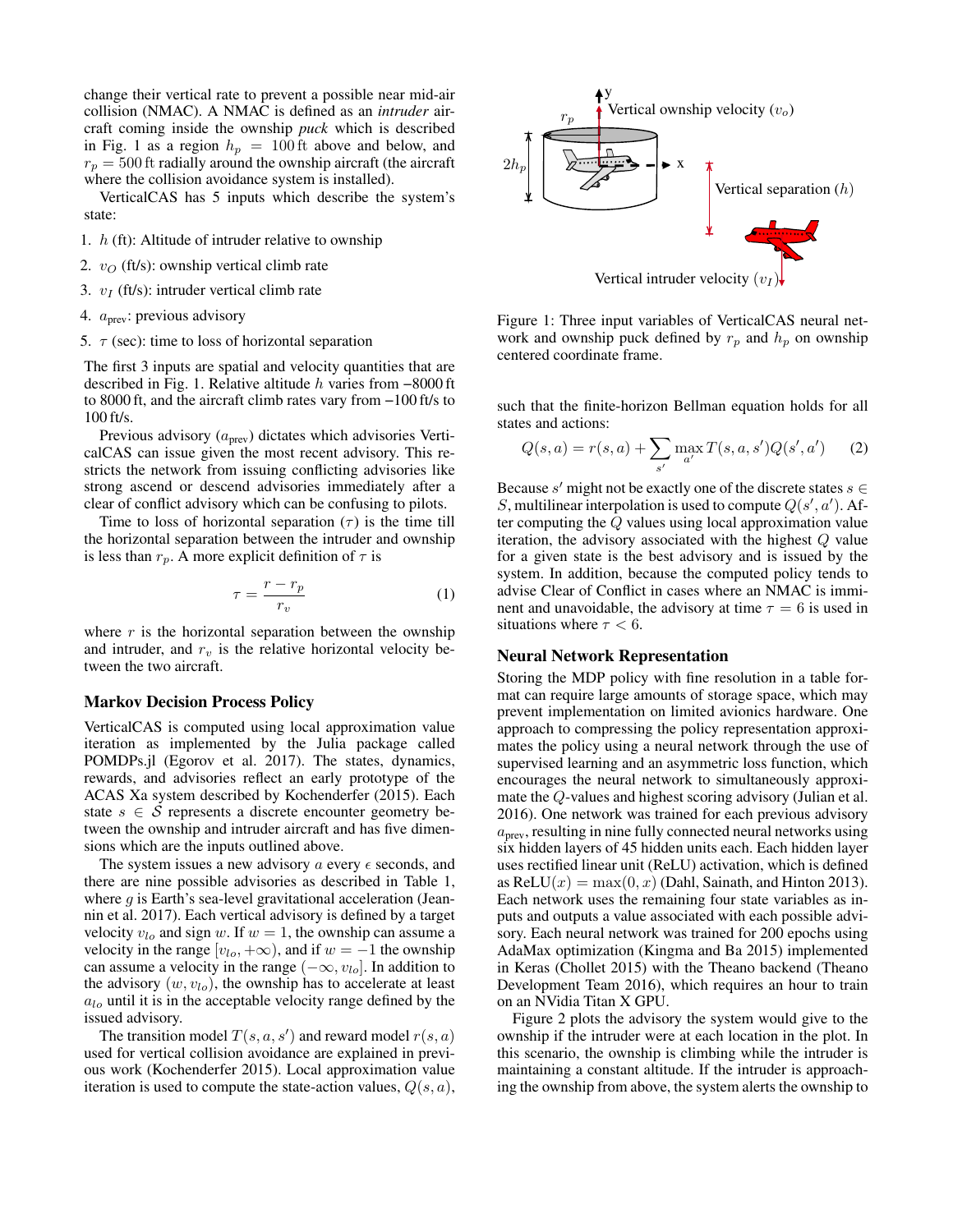change their vertical rate to prevent a possible near mid-air collision (NMAC). A NMAC is defined as an *intruder* aircraft coming inside the ownship *puck* which is described in Fig. 1 as a region  $h_p = 100$  ft above and below, and  $r_p = 500$  ft radially around the ownship aircraft (the aircraft where the collision avoidance system is installed).

VerticalCAS has 5 inputs which describe the system's state:

- 1.  $h$  (ft): Altitude of intruder relative to ownship
- 2.  $v_O$  (ft/s): ownship vertical climb rate
- 3.  $v_I$  (ft/s): intruder vertical climb rate
- 4. aprev: previous advisory
- 5.  $\tau$  (sec): time to loss of horizontal separation

The first 3 inputs are spatial and velocity quantities that are described in Fig. 1. Relative altitude h varies from −8000 ft to 8000 ft, and the aircraft climb rates vary from −100 ft/s to 100 ft/s.

Previous advisory  $(a_{prev})$  dictates which advisories VerticalCAS can issue given the most recent advisory. This restricts the network from issuing conflicting advisories like strong ascend or descend advisories immediately after a clear of conflict advisory which can be confusing to pilots.

Time to loss of horizontal separation  $(\tau)$  is the time till the horizontal separation between the intruder and ownship is less than  $r_p$ . A more explicit definition of  $\tau$  is

$$
\tau = \frac{r - r_p}{r_v} \tag{1}
$$

where  $r$  is the horizontal separation between the ownship and intruder, and  $r_v$  is the relative horizontal velocity between the two aircraft.

#### Markov Decision Process Policy

VerticalCAS is computed using local approximation value iteration as implemented by the Julia package called POMDPs.jl (Egorov et al. 2017). The states, dynamics, rewards, and advisories reflect an early prototype of the ACAS Xa system described by Kochenderfer (2015). Each state  $s \in S$  represents a discrete encounter geometry between the ownship and intruder aircraft and has five dimensions which are the inputs outlined above.

The system issues a new advisory  $a$  every  $\epsilon$  seconds, and there are nine possible advisories as described in Table 1, where  $q$  is Earth's sea-level gravitational acceleration (Jeannin et al. 2017). Each vertical advisory is defined by a target velocity  $v_{l_o}$  and sign w. If  $w = 1$ , the ownship can assume a velocity in the range  $[v_{lo}, +\infty)$ , and if  $w = -1$  the ownship can assume a velocity in the range  $(-\infty, v_{lo}]$ . In addition to the advisory  $(w, v_{lo})$ , the ownship has to accelerate at least  $a_{lo}$  until it is in the acceptable velocity range defined by the issued advisory.

The transition model  $T(s, a, s')$  and reward model  $r(s, a)$ used for vertical collision avoidance are explained in previous work (Kochenderfer 2015). Local approximation value iteration is used to compute the state-action values,  $Q(s, a)$ ,



Figure 1: Three input variables of VerticalCAS neural network and ownship puck defined by  $r_p$  and  $h_p$  on ownship centered coordinate frame.

such that the finite-horizon Bellman equation holds for all states and actions:

$$
Q(s, a) = r(s, a) + \sum_{s'} \max_{a'} T(s, a, s') Q(s', a')
$$
 (2)

Because  $s'$  might not be exactly one of the discrete states  $s \in$ S, multilinear interpolation is used to compute  $Q(s', a')$ . After computing the Q values using local approximation value iteration, the advisory associated with the highest Q value for a given state is the best advisory and is issued by the system. In addition, because the computed policy tends to advise Clear of Conflict in cases where an NMAC is imminent and unavoidable, the advisory at time  $\tau = 6$  is used in situations where  $\tau < 6$ .

### Neural Network Representation

Storing the MDP policy with fine resolution in a table format can require large amounts of storage space, which may prevent implementation on limited avionics hardware. One approach to compressing the policy representation approximates the policy using a neural network through the use of supervised learning and an asymmetric loss function, which encourages the neural network to simultaneously approximate the Q-values and highest scoring advisory (Julian et al. 2016). One network was trained for each previous advisory  $a<sub>prev</sub>$ , resulting in nine fully connected neural networks using six hidden layers of 45 hidden units each. Each hidden layer uses rectified linear unit (ReLU) activation, which is defined as ReLU $(x) = \max(0, x)$  (Dahl, Sainath, and Hinton 2013). Each network uses the remaining four state variables as inputs and outputs a value associated with each possible advisory. Each neural network was trained for 200 epochs using AdaMax optimization (Kingma and Ba 2015) implemented in Keras (Chollet 2015) with the Theano backend (Theano Development Team 2016), which requires an hour to train on an NVidia Titan X GPU.

Figure 2 plots the advisory the system would give to the ownship if the intruder were at each location in the plot. In this scenario, the ownship is climbing while the intruder is maintaining a constant altitude. If the intruder is approaching the ownship from above, the system alerts the ownship to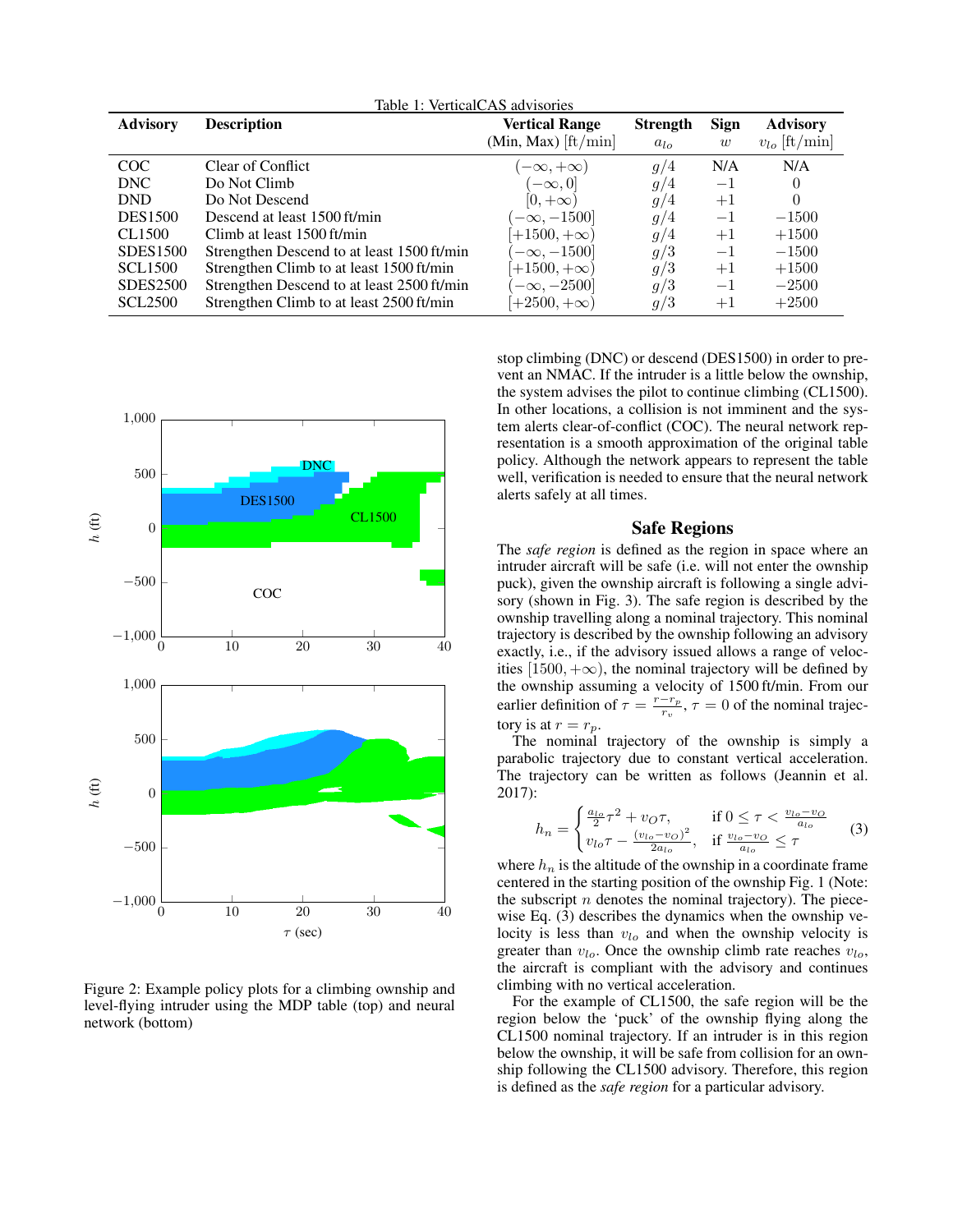| Table 1: VerticalCAS advisories |                                            |                       |                 |         |                   |  |  |  |  |  |  |
|---------------------------------|--------------------------------------------|-----------------------|-----------------|---------|-------------------|--|--|--|--|--|--|
| <b>Advisory</b>                 | <b>Description</b>                         | <b>Vertical Range</b> | <b>Strength</b> | Sign    | <b>Advisory</b>   |  |  |  |  |  |  |
|                                 |                                            | $(Min, Max)$ [ft/min] | $a_{lo}$        | w       | $v_{lo}$ [ft/min] |  |  |  |  |  |  |
| COC                             | Clear of Conflict                          | $(-\infty, +\infty)$  | g/4             | N/A     | N/A               |  |  |  |  |  |  |
| <b>DNC</b>                      | Do Not Climb                               | $[-\infty, 0]$        | g/4             | $-1$    | 0                 |  |  |  |  |  |  |
| <b>DND</b>                      | Do Not Descend                             | $[0, +\infty)$        | g/4             | $+1$    | 0                 |  |  |  |  |  |  |
| <b>DES1500</b>                  | Descend at least 1500 ft/min               | $[-\infty, -1500]$    | g/4             | $-1$    | $-1500$           |  |  |  |  |  |  |
| CL1500                          | Climb at least 1500 ft/min                 | $+1500, +\infty$      | g/4             | $+1$    | $+1500$           |  |  |  |  |  |  |
| <b>SDES1500</b>                 | Strengthen Descend to at least 1500 ft/min | $[-\infty, -1500]$    | g/3             | $-1$    | $-1500$           |  |  |  |  |  |  |
| <b>SCL1500</b>                  | Strengthen Climb to at least 1500 ft/min   | $+1500, +\infty$      | g/3             | $+1$    | $+1500$           |  |  |  |  |  |  |
| <b>SDES2500</b>                 | Strengthen Descend to at least 2500 ft/min | $[-\infty, -2500]$    | g/3             | $^{-1}$ | $-2500$           |  |  |  |  |  |  |
| <b>SCL2500</b>                  | Strengthen Climb to at least 2500 ft/min   | $+2500, +\infty)$     | g/3             | $+1$    | $+2500$           |  |  |  |  |  |  |



Figure 2: Example policy plots for a climbing ownship and level-flying intruder using the MDP table (top) and neural network (bottom)

stop climbing (DNC) or descend (DES1500) in order to prevent an NMAC. If the intruder is a little below the ownship, the system advises the pilot to continue climbing (CL1500). In other locations, a collision is not imminent and the system alerts clear-of-conflict (COC). The neural network representation is a smooth approximation of the original table policy. Although the network appears to represent the table well, verification is needed to ensure that the neural network alerts safely at all times.

## Safe Regions

The *safe region* is defined as the region in space where an intruder aircraft will be safe (i.e. will not enter the ownship puck), given the ownship aircraft is following a single advisory (shown in Fig. 3). The safe region is described by the ownship travelling along a nominal trajectory. This nominal trajectory is described by the ownship following an advisory exactly, i.e., if the advisory issued allows a range of velocities  $[1500, +\infty)$ , the nominal trajectory will be defined by the ownship assuming a velocity of 1500 ft/min. From our earlier definition of  $\tau = \frac{r - r_p}{r}$  $\frac{-r_p}{r_v}$ ,  $\tau = 0$  of the nominal trajectory is at  $r = r_p$ .

The nominal trajectory of the ownship is simply a parabolic trajectory due to constant vertical acceleration. The trajectory can be written as follows (Jeannin et al. 2017):

$$
h_n = \begin{cases} \frac{a_{lo}}{2} \tau^2 + v_O \tau, & \text{if } 0 \le \tau < \frac{v_{lo} - v_O}{a_{lo}}\\ v_{lo} \tau - \frac{(v_{lo} - v_O)^2}{2a_{lo}}, & \text{if } \frac{v_{lo} - v_O}{a_{lo}} \le \tau \end{cases}
$$
(3)

where  $h_n$  is the altitude of the ownship in a coordinate frame centered in the starting position of the ownship Fig. 1 (Note: the subscript  $n$  denotes the nominal trajectory). The piecewise Eq. (3) describes the dynamics when the ownship velocity is less than  $v_{lo}$  and when the ownship velocity is greater than  $v_{lo}$ . Once the ownship climb rate reaches  $v_{lo}$ , the aircraft is compliant with the advisory and continues climbing with no vertical acceleration.

For the example of CL1500, the safe region will be the region below the 'puck' of the ownship flying along the CL1500 nominal trajectory. If an intruder is in this region below the ownship, it will be safe from collision for an ownship following the CL1500 advisory. Therefore, this region is defined as the *safe region* for a particular advisory.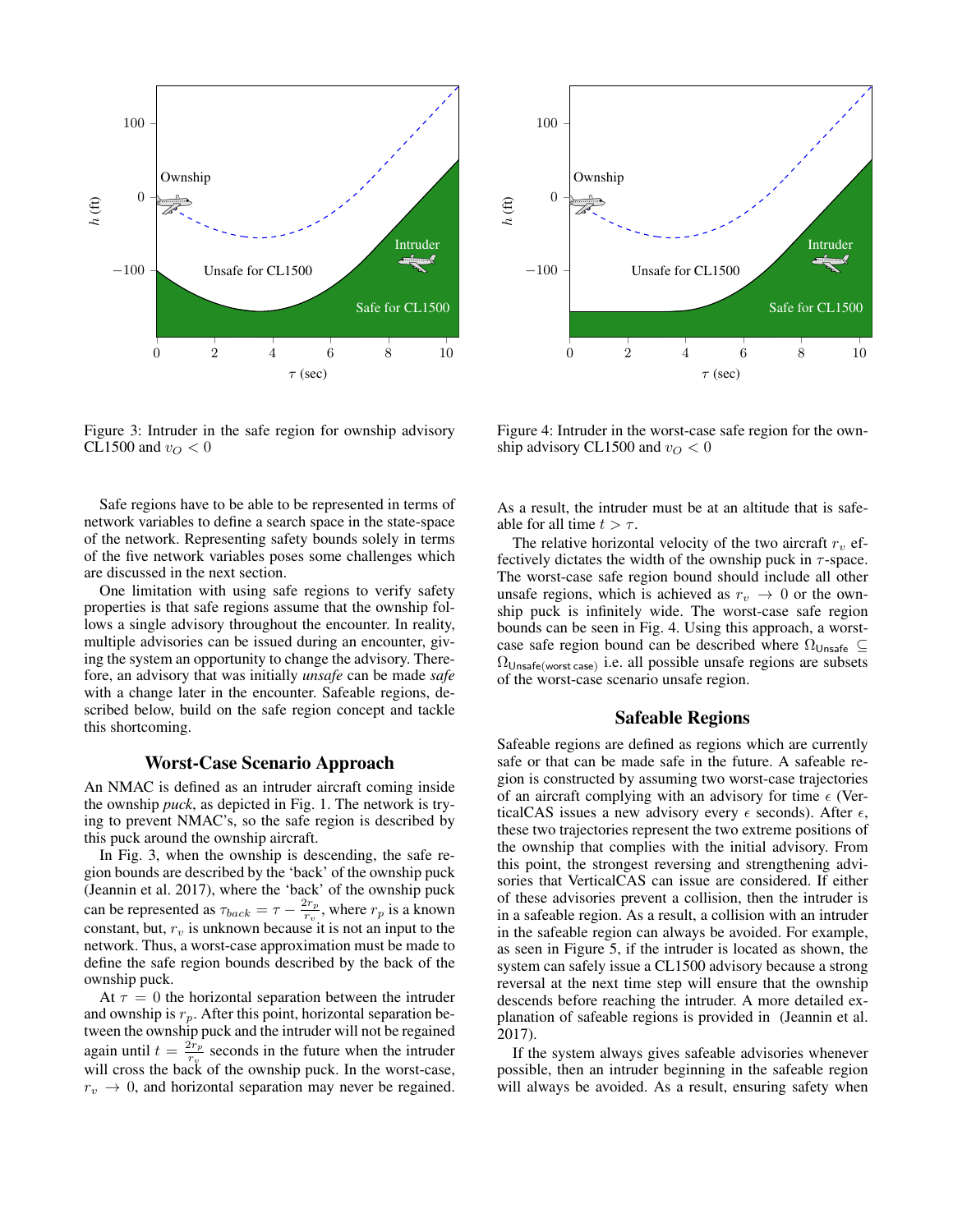

0 2 4 6 8 10 −100  $\Omega$ 100 Unsafe for CL1500 Safe for CL1500 Intruder **Ownship**  $\tau$  (sec) h (ft)

Figure 3: Intruder in the safe region for ownship advisory CL1500 and  $v_O < 0$ 

Safe regions have to be able to be represented in terms of network variables to define a search space in the state-space of the network. Representing safety bounds solely in terms of the five network variables poses some challenges which are discussed in the next section.

One limitation with using safe regions to verify safety properties is that safe regions assume that the ownship follows a single advisory throughout the encounter. In reality, multiple advisories can be issued during an encounter, giving the system an opportunity to change the advisory. Therefore, an advisory that was initially *unsafe* can be made *safe* with a change later in the encounter. Safeable regions, described below, build on the safe region concept and tackle this shortcoming.

#### Worst-Case Scenario Approach

An NMAC is defined as an intruder aircraft coming inside the ownship *puck*, as depicted in Fig. 1. The network is trying to prevent NMAC's, so the safe region is described by this puck around the ownship aircraft.

In Fig. 3, when the ownship is descending, the safe region bounds are described by the 'back' of the ownship puck (Jeannin et al. 2017), where the 'back' of the ownship puck can be represented as  $\tau_{back} = \tau - \frac{2r_p}{r_p}$  $\frac{r_{p}}{r_{v}}$ , where  $r_{p}$  is a known constant, but,  $r_v$  is unknown because it is not an input to the network. Thus, a worst-case approximation must be made to define the safe region bounds described by the back of the ownship puck.

At  $\tau = 0$  the horizontal separation between the intruder and ownship is  $r_p$ . After this point, horizontal separation between the ownship puck and the intruder will not be regained again until  $t = \frac{2r_p}{r}$  $\frac{z_{r_p}}{r_v}$  seconds in the future when the intruder will cross the back of the ownship puck. In the worst-case,  $r_v \rightarrow 0$ , and horizontal separation may never be regained.

Figure 4: Intruder in the worst-case safe region for the ownship advisory CL1500 and  $v<sub>O</sub> < 0$ 

As a result, the intruder must be at an altitude that is safeable for all time  $t > \tau$ .

The relative horizontal velocity of the two aircraft  $r_v$  effectively dictates the width of the ownship puck in  $\tau$ -space. The worst-case safe region bound should include all other unsafe regions, which is achieved as  $r_v \rightarrow 0$  or the ownship puck is infinitely wide. The worst-case safe region bounds can be seen in Fig. 4. Using this approach, a worstcase safe region bound can be described where  $\Omega_{\text{Unsafe}} \subseteq$  $\Omega_{\text{Unsafe}(\text{worst case})}$  i.e. all possible unsafe regions are subsets of the worst-case scenario unsafe region.

# Safeable Regions

Safeable regions are defined as regions which are currently safe or that can be made safe in the future. A safeable region is constructed by assuming two worst-case trajectories of an aircraft complying with an advisory for time  $\epsilon$  (VerticalCAS issues a new advisory every  $\epsilon$  seconds). After  $\epsilon$ , these two trajectories represent the two extreme positions of the ownship that complies with the initial advisory. From this point, the strongest reversing and strengthening advisories that VerticalCAS can issue are considered. If either of these advisories prevent a collision, then the intruder is in a safeable region. As a result, a collision with an intruder in the safeable region can always be avoided. For example, as seen in Figure 5, if the intruder is located as shown, the system can safely issue a CL1500 advisory because a strong reversal at the next time step will ensure that the ownship descends before reaching the intruder. A more detailed explanation of safeable regions is provided in (Jeannin et al. 2017).

If the system always gives safeable advisories whenever possible, then an intruder beginning in the safeable region will always be avoided. As a result, ensuring safety when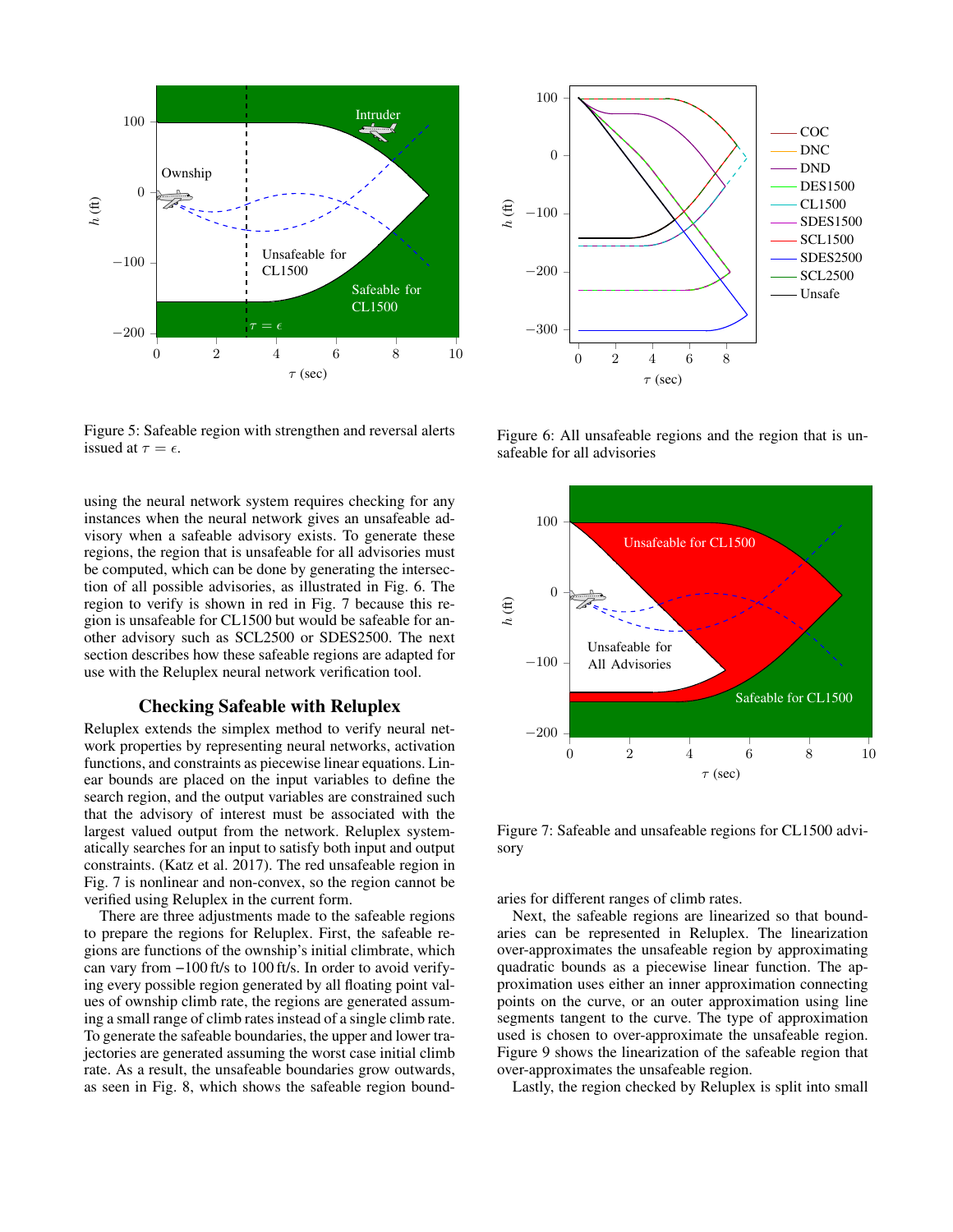

Figure 5: Safeable region with strengthen and reversal alerts issued at  $\tau = \epsilon$ .

using the neural network system requires checking for any instances when the neural network gives an unsafeable advisory when a safeable advisory exists. To generate these regions, the region that is unsafeable for all advisories must be computed, which can be done by generating the intersection of all possible advisories, as illustrated in Fig. 6. The region to verify is shown in red in Fig. 7 because this region is unsafeable for CL1500 but would be safeable for another advisory such as SCL2500 or SDES2500. The next section describes how these safeable regions are adapted for use with the Reluplex neural network verification tool.

## Checking Safeable with Reluplex

Reluplex extends the simplex method to verify neural network properties by representing neural networks, activation functions, and constraints as piecewise linear equations. Linear bounds are placed on the input variables to define the search region, and the output variables are constrained such that the advisory of interest must be associated with the largest valued output from the network. Reluplex systematically searches for an input to satisfy both input and output constraints. (Katz et al. 2017). The red unsafeable region in Fig. 7 is nonlinear and non-convex, so the region cannot be verified using Reluplex in the current form.

There are three adjustments made to the safeable regions to prepare the regions for Reluplex. First, the safeable regions are functions of the ownship's initial climbrate, which can vary from −100 ft/s to 100 ft/s. In order to avoid verifying every possible region generated by all floating point values of ownship climb rate, the regions are generated assuming a small range of climb rates instead of a single climb rate. To generate the safeable boundaries, the upper and lower trajectories are generated assuming the worst case initial climb rate. As a result, the unsafeable boundaries grow outwards, as seen in Fig. 8, which shows the safeable region bound-



Figure 6: All unsafeable regions and the region that is unsafeable for all advisories



Figure 7: Safeable and unsafeable regions for CL1500 advisory

aries for different ranges of climb rates.

Next, the safeable regions are linearized so that boundaries can be represented in Reluplex. The linearization over-approximates the unsafeable region by approximating quadratic bounds as a piecewise linear function. The approximation uses either an inner approximation connecting points on the curve, or an outer approximation using line segments tangent to the curve. The type of approximation used is chosen to over-approximate the unsafeable region. Figure 9 shows the linearization of the safeable region that over-approximates the unsafeable region.

Lastly, the region checked by Reluplex is split into small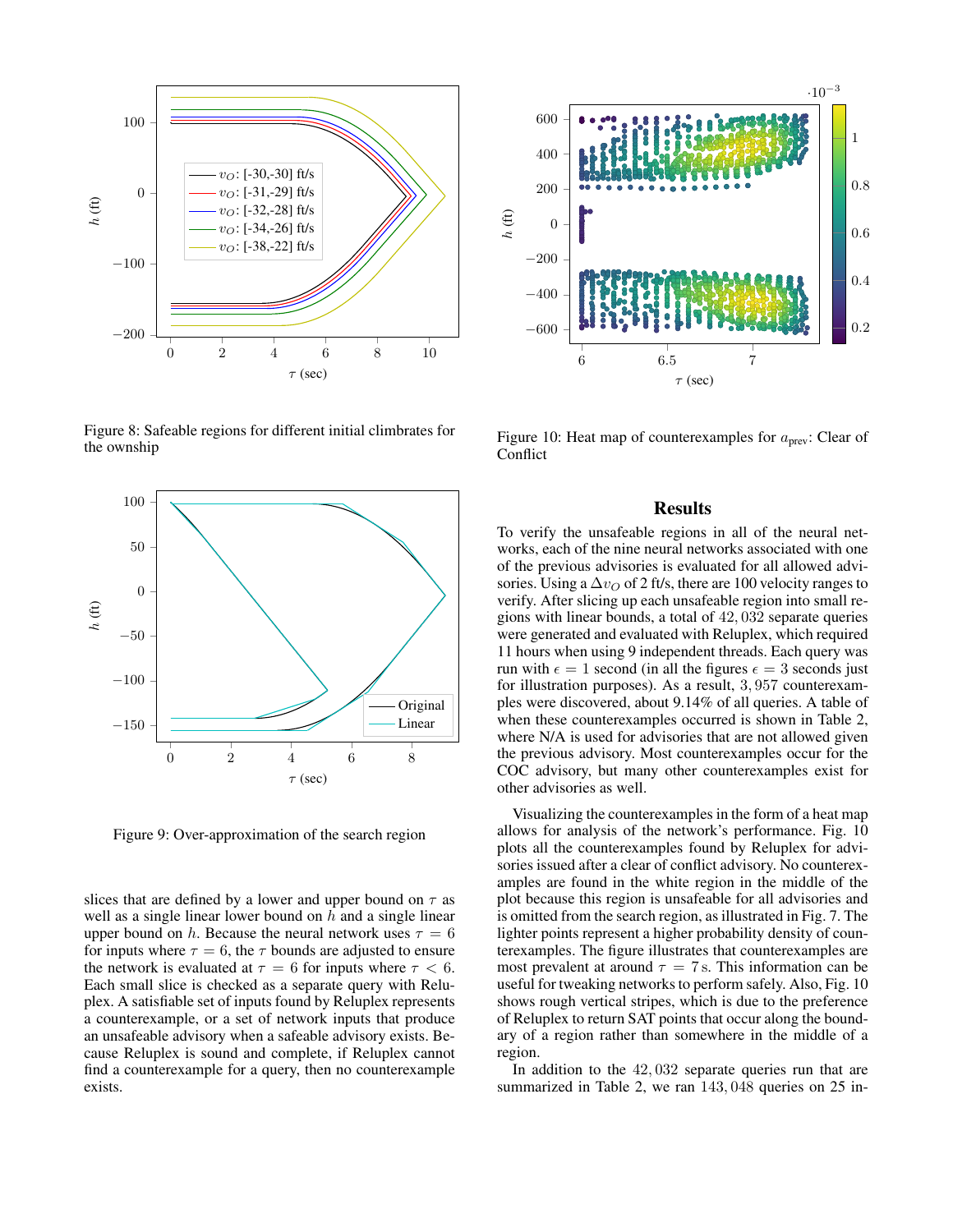

Figure 8: Safeable regions for different initial climbrates for the ownship



Figure 9: Over-approximation of the search region

slices that are defined by a lower and upper bound on  $\tau$  as well as a single linear lower bound on  $h$  and a single linear upper bound on h. Because the neural network uses  $\tau = 6$ for inputs where  $\tau = 6$ , the  $\tau$  bounds are adjusted to ensure the network is evaluated at  $\tau = 6$  for inputs where  $\tau < 6$ . Each small slice is checked as a separate query with Reluplex. A satisfiable set of inputs found by Reluplex represents a counterexample, or a set of network inputs that produce an unsafeable advisory when a safeable advisory exists. Because Reluplex is sound and complete, if Reluplex cannot find a counterexample for a query, then no counterexample exists.



Figure 10: Heat map of counterexamples for  $a_{\text{prev}}$ : Clear of **Conflict** 

## **Results**

To verify the unsafeable regions in all of the neural networks, each of the nine neural networks associated with one of the previous advisories is evaluated for all allowed advisories. Using a  $\Delta v_O$  of 2 ft/s, there are 100 velocity ranges to verify. After slicing up each unsafeable region into small regions with linear bounds, a total of 42, 032 separate queries were generated and evaluated with Reluplex, which required 11 hours when using 9 independent threads. Each query was run with  $\epsilon = 1$  second (in all the figures  $\epsilon = 3$  seconds just for illustration purposes). As a result, 3, 957 counterexamples were discovered, about 9.14% of all queries. A table of when these counterexamples occurred is shown in Table 2, where N/A is used for advisories that are not allowed given the previous advisory. Most counterexamples occur for the COC advisory, but many other counterexamples exist for other advisories as well.

Visualizing the counterexamples in the form of a heat map allows for analysis of the network's performance. Fig. 10 plots all the counterexamples found by Reluplex for advisories issued after a clear of conflict advisory. No counterexamples are found in the white region in the middle of the plot because this region is unsafeable for all advisories and is omitted from the search region, as illustrated in Fig. 7. The lighter points represent a higher probability density of counterexamples. The figure illustrates that counterexamples are most prevalent at around  $\tau = 7$  s. This information can be useful for tweaking networks to perform safely. Also, Fig. 10 shows rough vertical stripes, which is due to the preference of Reluplex to return SAT points that occur along the boundary of a region rather than somewhere in the middle of a region.

In addition to the 42, 032 separate queries run that are summarized in Table 2, we ran  $143,048$  queries on 25 in-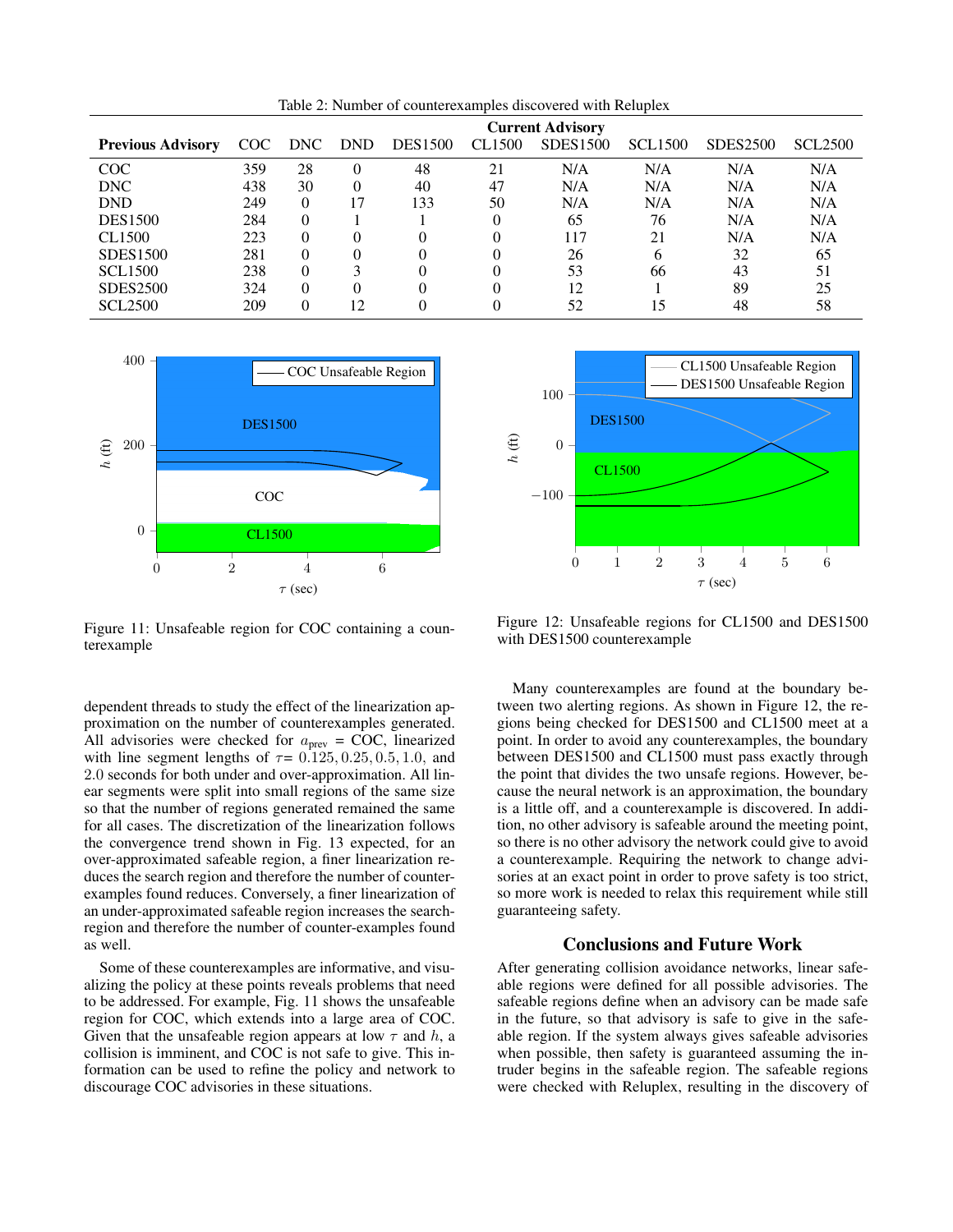|                          | <b>Current Advisory</b> |          |            |                |        |                 |                |                 |                |
|--------------------------|-------------------------|----------|------------|----------------|--------|-----------------|----------------|-----------------|----------------|
| <b>Previous Advisory</b> | COC                     | DNC      | <b>DND</b> | <b>DES1500</b> | CL1500 | <b>SDES1500</b> | <b>SCL1500</b> | <b>SDES2500</b> | <b>SCL2500</b> |
| <b>COC</b>               | 359                     | 28       |            | 48             | 21     | N/A             | N/A            | N/A             | N/A            |
| <b>DNC</b>               | 438                     | 30       |            | 40             | 47     | N/A             | N/A            | N/A             | N/A            |
| <b>DND</b>               | 249                     | $\Omega$ | 17         | 133            | 50     | N/A             | N/A            | N/A             | N/A            |
| <b>DES1500</b>           | 284                     | $\Omega$ |            |                |        | 65              | 76             | N/A             | N/A            |
| CL <sub>1500</sub>       | 223                     | $\Omega$ |            | 0              |        | 117             | 21             | N/A             | N/A            |
| SDES1500                 | 281                     | $\Omega$ |            | 0              |        | 26              | 6              | 32              | 65             |
| <b>SCL1500</b>           | 238                     | $\Omega$ |            | 0              |        | 53              | 66             | 43              | 51             |
| <b>SDES2500</b>          | 324                     | $\Omega$ |            | 0              |        | 12              |                | 89              | 25             |
| <b>SCL2500</b>           | 209                     | $\Omega$ | 12         | 0              |        | 52              | 15             | 48              | 58             |

Table 2: Number of counterexamples discovered with Reluplex



Figure 11: Unsafeable region for COC containing a counterexample

dependent threads to study the effect of the linearization approximation on the number of counterexamples generated. All advisories were checked for  $a_{prev} = COC$ , linearized with line segment lengths of  $\tau$  = 0.125, 0.25, 0.5, 1.0, and 2.0 seconds for both under and over-approximation. All linear segments were split into small regions of the same size so that the number of regions generated remained the same for all cases. The discretization of the linearization follows the convergence trend shown in Fig. 13 expected, for an over-approximated safeable region, a finer linearization reduces the search region and therefore the number of counterexamples found reduces. Conversely, a finer linearization of an under-approximated safeable region increases the searchregion and therefore the number of counter-examples found as well.

Some of these counterexamples are informative, and visualizing the policy at these points reveals problems that need to be addressed. For example, Fig. 11 shows the unsafeable region for COC, which extends into a large area of COC. Given that the unsafeable region appears at low  $\tau$  and h, a collision is imminent, and COC is not safe to give. This information can be used to refine the policy and network to discourage COC advisories in these situations.



Figure 12: Unsafeable regions for CL1500 and DES1500 with DES1500 counterexample

Many counterexamples are found at the boundary between two alerting regions. As shown in Figure 12, the regions being checked for DES1500 and CL1500 meet at a point. In order to avoid any counterexamples, the boundary between DES1500 and CL1500 must pass exactly through the point that divides the two unsafe regions. However, because the neural network is an approximation, the boundary is a little off, and a counterexample is discovered. In addition, no other advisory is safeable around the meeting point, so there is no other advisory the network could give to avoid a counterexample. Requiring the network to change advisories at an exact point in order to prove safety is too strict, so more work is needed to relax this requirement while still guaranteeing safety.

# Conclusions and Future Work

After generating collision avoidance networks, linear safeable regions were defined for all possible advisories. The safeable regions define when an advisory can be made safe in the future, so that advisory is safe to give in the safeable region. If the system always gives safeable advisories when possible, then safety is guaranteed assuming the intruder begins in the safeable region. The safeable regions were checked with Reluplex, resulting in the discovery of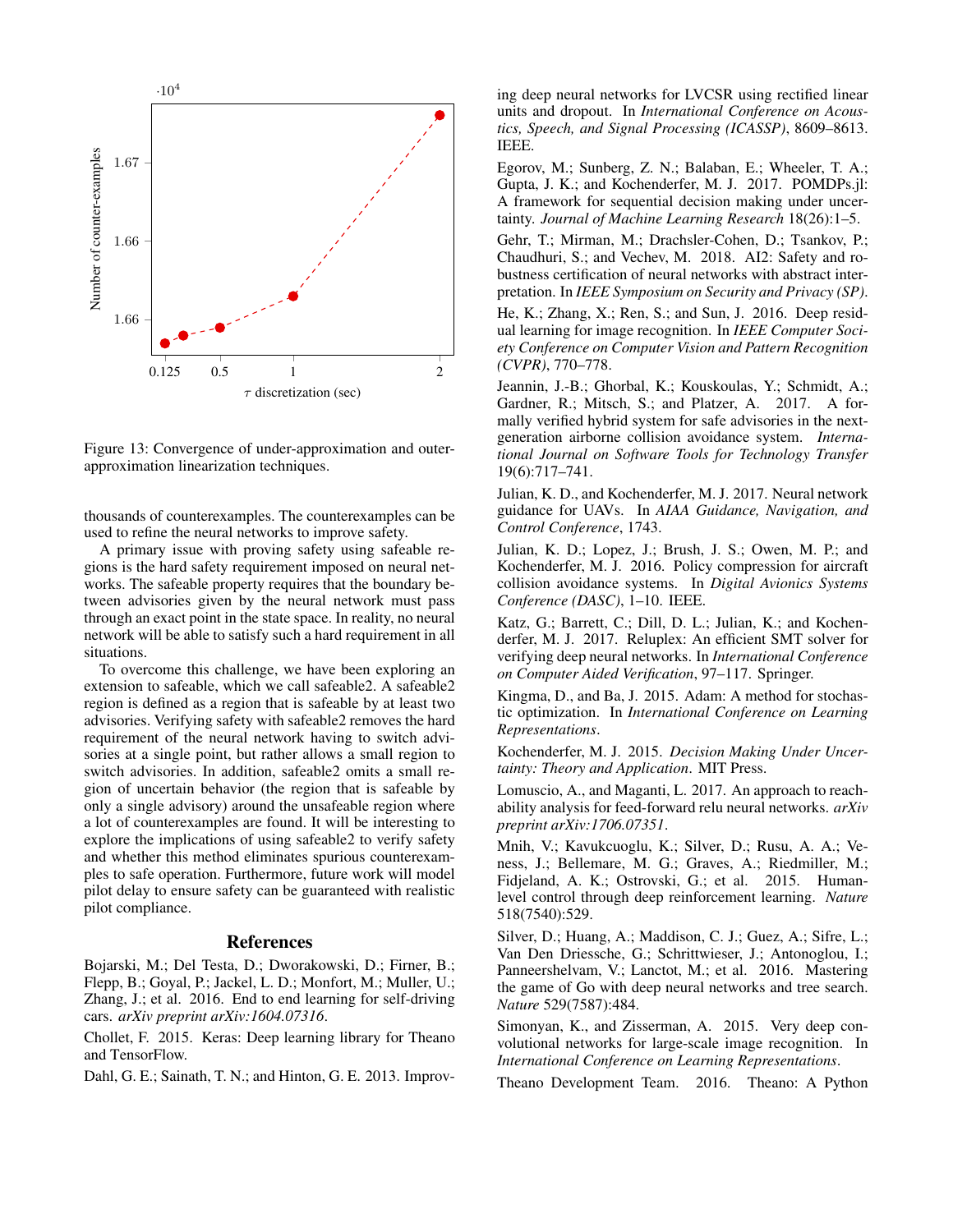

Figure 13: Convergence of under-approximation and outerapproximation linearization techniques.

thousands of counterexamples. The counterexamples can be used to refine the neural networks to improve safety.

A primary issue with proving safety using safeable regions is the hard safety requirement imposed on neural networks. The safeable property requires that the boundary between advisories given by the neural network must pass through an exact point in the state space. In reality, no neural network will be able to satisfy such a hard requirement in all situations.

To overcome this challenge, we have been exploring an extension to safeable, which we call safeable2. A safeable2 region is defined as a region that is safeable by at least two advisories. Verifying safety with safeable2 removes the hard requirement of the neural network having to switch advisories at a single point, but rather allows a small region to switch advisories. In addition, safeable2 omits a small region of uncertain behavior (the region that is safeable by only a single advisory) around the unsafeable region where a lot of counterexamples are found. It will be interesting to explore the implications of using safeable2 to verify safety and whether this method eliminates spurious counterexamples to safe operation. Furthermore, future work will model pilot delay to ensure safety can be guaranteed with realistic pilot compliance.

#### References

Bojarski, M.; Del Testa, D.; Dworakowski, D.; Firner, B.; Flepp, B.; Goyal, P.; Jackel, L. D.; Monfort, M.; Muller, U.; Zhang, J.; et al. 2016. End to end learning for self-driving cars. *arXiv preprint arXiv:1604.07316*.

Chollet, F. 2015. Keras: Deep learning library for Theano and TensorFlow.

Dahl, G. E.; Sainath, T. N.; and Hinton, G. E. 2013. Improv-

ing deep neural networks for LVCSR using rectified linear units and dropout. In *International Conference on Acoustics, Speech, and Signal Processing (ICASSP)*, 8609–8613. IEEE.

Egorov, M.; Sunberg, Z. N.; Balaban, E.; Wheeler, T. A.; Gupta, J. K.; and Kochenderfer, M. J. 2017. POMDPs.jl: A framework for sequential decision making under uncertainty. *Journal of Machine Learning Research* 18(26):1–5.

Gehr, T.; Mirman, M.; Drachsler-Cohen, D.; Tsankov, P.; Chaudhuri, S.; and Vechev, M. 2018. AI2: Safety and robustness certification of neural networks with abstract interpretation. In *IEEE Symposium on Security and Privacy (SP)*.

He, K.; Zhang, X.; Ren, S.; and Sun, J. 2016. Deep residual learning for image recognition. In *IEEE Computer Society Conference on Computer Vision and Pattern Recognition (CVPR)*, 770–778.

Jeannin, J.-B.; Ghorbal, K.; Kouskoulas, Y.; Schmidt, A.; Gardner, R.; Mitsch, S.; and Platzer, A. 2017. A formally verified hybrid system for safe advisories in the nextgeneration airborne collision avoidance system. *International Journal on Software Tools for Technology Transfer* 19(6):717–741.

Julian, K. D., and Kochenderfer, M. J. 2017. Neural network guidance for UAVs. In *AIAA Guidance, Navigation, and Control Conference*, 1743.

Julian, K. D.; Lopez, J.; Brush, J. S.; Owen, M. P.; and Kochenderfer, M. J. 2016. Policy compression for aircraft collision avoidance systems. In *Digital Avionics Systems Conference (DASC)*, 1–10. IEEE.

Katz, G.; Barrett, C.; Dill, D. L.; Julian, K.; and Kochenderfer, M. J. 2017. Reluplex: An efficient SMT solver for verifying deep neural networks. In *International Conference on Computer Aided Verification*, 97–117. Springer.

Kingma, D., and Ba, J. 2015. Adam: A method for stochastic optimization. In *International Conference on Learning Representations*.

Kochenderfer, M. J. 2015. *Decision Making Under Uncertainty: Theory and Application*. MIT Press.

Lomuscio, A., and Maganti, L. 2017. An approach to reachability analysis for feed-forward relu neural networks. *arXiv preprint arXiv:1706.07351*.

Mnih, V.; Kavukcuoglu, K.; Silver, D.; Rusu, A. A.; Veness, J.; Bellemare, M. G.; Graves, A.; Riedmiller, M.; Fidjeland, A. K.; Ostrovski, G.; et al. 2015. Humanlevel control through deep reinforcement learning. *Nature* 518(7540):529.

Silver, D.; Huang, A.; Maddison, C. J.; Guez, A.; Sifre, L.; Van Den Driessche, G.; Schrittwieser, J.; Antonoglou, I.; Panneershelvam, V.; Lanctot, M.; et al. 2016. Mastering the game of Go with deep neural networks and tree search. *Nature* 529(7587):484.

Simonyan, K., and Zisserman, A. 2015. Very deep convolutional networks for large-scale image recognition. In *International Conference on Learning Representations*.

Theano Development Team. 2016. Theano: A Python